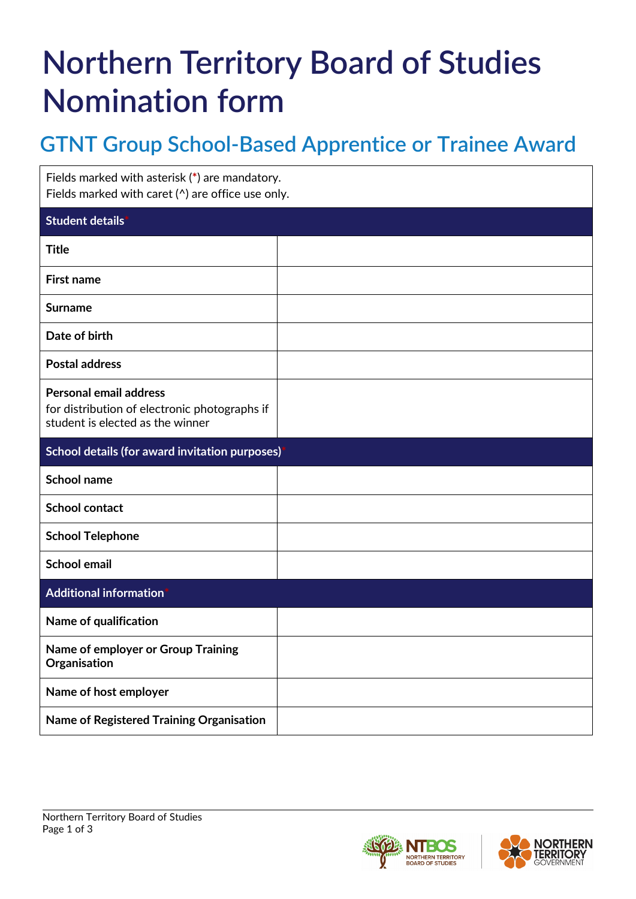# **Northern Territory Board of Studies Nomination form**

# **GTNT Group School-Based Apprentice or Trainee Award**

| Fields marked with asterisk (*) are mandatory.<br>Fields marked with caret (^) are office use only.                |  |
|--------------------------------------------------------------------------------------------------------------------|--|
| Student details                                                                                                    |  |
| <b>Title</b>                                                                                                       |  |
| <b>First name</b>                                                                                                  |  |
| <b>Surname</b>                                                                                                     |  |
| Date of birth                                                                                                      |  |
| <b>Postal address</b>                                                                                              |  |
| <b>Personal email address</b><br>for distribution of electronic photographs if<br>student is elected as the winner |  |
| School details (for award invitation purposes)                                                                     |  |
| <b>School name</b>                                                                                                 |  |
| <b>School contact</b>                                                                                              |  |
| <b>School Telephone</b>                                                                                            |  |
| <b>School email</b>                                                                                                |  |
|                                                                                                                    |  |
| <b>Additional information</b> <sup>*</sup>                                                                         |  |
| Name of qualification                                                                                              |  |
| Name of employer or Group Training<br>Organisation                                                                 |  |
| Name of host employer                                                                                              |  |



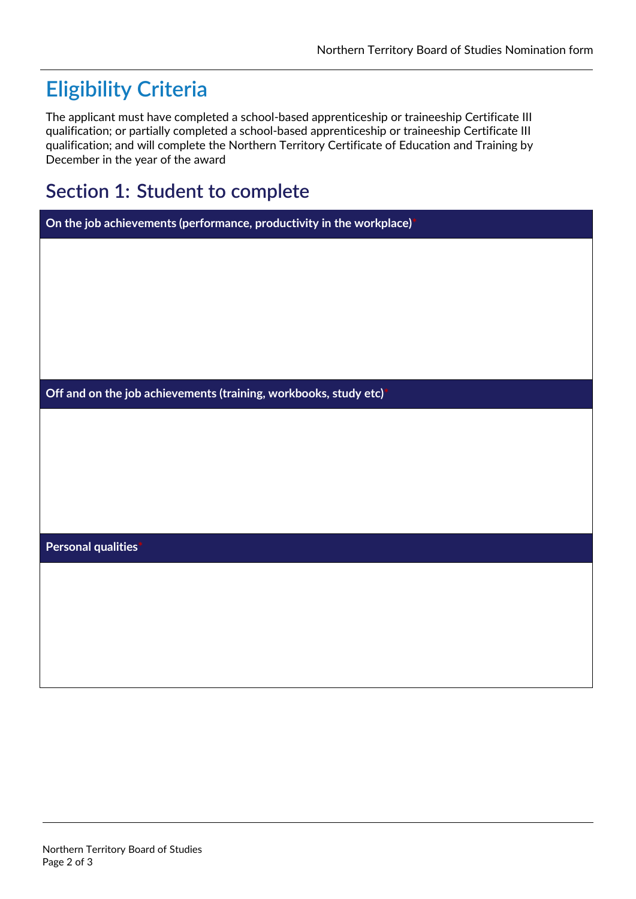## **Eligibility Criteria**

The applicant must have completed a school-based apprenticeship or traineeship Certificate III qualification; or partially completed a school-based apprenticeship or traineeship Certificate III qualification; and will complete the Northern Territory Certificate of Education and Training by December in the year of the award

### **Section 1: Student to complete**

**On the job achievements (performance, productivity in the workplace)\***

**Off and on the job achievements (training, workbooks, study etc)\***

**Personal qualities\***